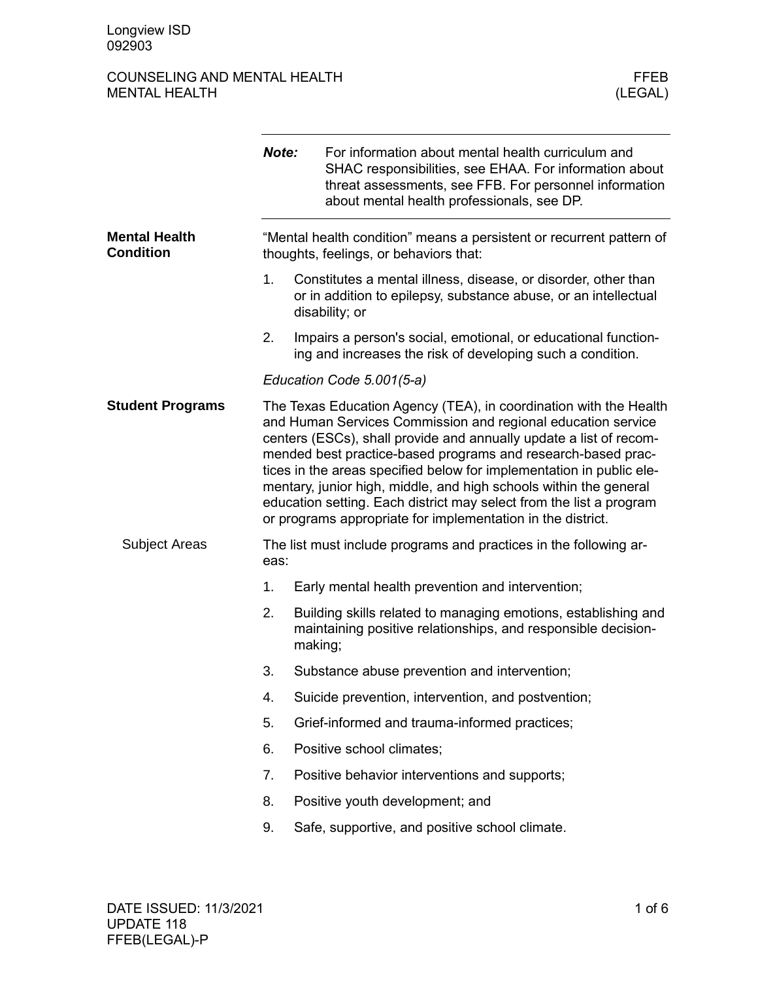## COUNSELING AND MENTAL HEALTH FEER THE MENTAL HEALTH SERVICE SERVICES AND MENTAL HEALTH MENTAL HEALTH

|                                          | Note:                                                                                                          | For information about mental health curriculum and<br>SHAC responsibilities, see EHAA. For information about<br>threat assessments, see FFB. For personnel information<br>about mental health professionals, see DP.                                                                                                                                                                                                                                                                                                                                       |  |
|------------------------------------------|----------------------------------------------------------------------------------------------------------------|------------------------------------------------------------------------------------------------------------------------------------------------------------------------------------------------------------------------------------------------------------------------------------------------------------------------------------------------------------------------------------------------------------------------------------------------------------------------------------------------------------------------------------------------------------|--|
| <b>Mental Health</b><br><b>Condition</b> | "Mental health condition" means a persistent or recurrent pattern of<br>thoughts, feelings, or behaviors that: |                                                                                                                                                                                                                                                                                                                                                                                                                                                                                                                                                            |  |
|                                          | 1.                                                                                                             | Constitutes a mental illness, disease, or disorder, other than<br>or in addition to epilepsy, substance abuse, or an intellectual<br>disability; or                                                                                                                                                                                                                                                                                                                                                                                                        |  |
|                                          | 2.                                                                                                             | Impairs a person's social, emotional, or educational function-<br>ing and increases the risk of developing such a condition.                                                                                                                                                                                                                                                                                                                                                                                                                               |  |
|                                          |                                                                                                                | Education Code 5.001(5-a)                                                                                                                                                                                                                                                                                                                                                                                                                                                                                                                                  |  |
| <b>Student Programs</b>                  |                                                                                                                | The Texas Education Agency (TEA), in coordination with the Health<br>and Human Services Commission and regional education service<br>centers (ESCs), shall provide and annually update a list of recom-<br>mended best practice-based programs and research-based prac-<br>tices in the areas specified below for implementation in public ele-<br>mentary, junior high, middle, and high schools within the general<br>education setting. Each district may select from the list a program<br>or programs appropriate for implementation in the district. |  |
| <b>Subject Areas</b>                     | eas:                                                                                                           | The list must include programs and practices in the following ar-                                                                                                                                                                                                                                                                                                                                                                                                                                                                                          |  |
|                                          | 1.                                                                                                             | Early mental health prevention and intervention;                                                                                                                                                                                                                                                                                                                                                                                                                                                                                                           |  |
|                                          | 2.                                                                                                             | Building skills related to managing emotions, establishing and<br>maintaining positive relationships, and responsible decision-<br>making;                                                                                                                                                                                                                                                                                                                                                                                                                 |  |
|                                          | 3.                                                                                                             | Substance abuse prevention and intervention;                                                                                                                                                                                                                                                                                                                                                                                                                                                                                                               |  |
|                                          | 4.                                                                                                             | Suicide prevention, intervention, and postvention;                                                                                                                                                                                                                                                                                                                                                                                                                                                                                                         |  |
|                                          | 5.                                                                                                             | Grief-informed and trauma-informed practices;                                                                                                                                                                                                                                                                                                                                                                                                                                                                                                              |  |
|                                          | 6.                                                                                                             | Positive school climates;                                                                                                                                                                                                                                                                                                                                                                                                                                                                                                                                  |  |
|                                          | 7.                                                                                                             | Positive behavior interventions and supports;                                                                                                                                                                                                                                                                                                                                                                                                                                                                                                              |  |
|                                          | 8.                                                                                                             | Positive youth development; and                                                                                                                                                                                                                                                                                                                                                                                                                                                                                                                            |  |
|                                          | 9.                                                                                                             | Safe, supportive, and positive school climate.                                                                                                                                                                                                                                                                                                                                                                                                                                                                                                             |  |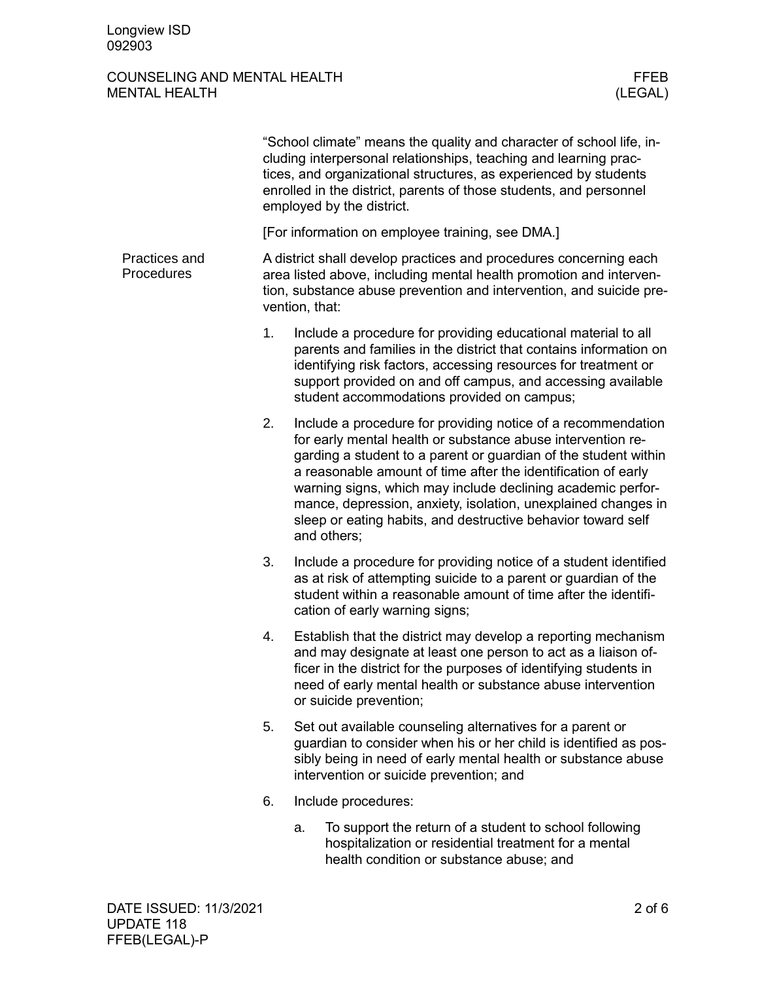### COUNSELING AND MENTAL HEALTH FEER MENTAL HEALTH (LEGAL) MENTAL HEALTH

|                             |                                                                                                                                                                                                                                  | "School climate" means the quality and character of school life, in-<br>cluding interpersonal relationships, teaching and learning prac-<br>tices, and organizational structures, as experienced by students<br>enrolled in the district, parents of those students, and personnel<br>employed by the district.                                                                                                                                                                |  |
|-----------------------------|----------------------------------------------------------------------------------------------------------------------------------------------------------------------------------------------------------------------------------|--------------------------------------------------------------------------------------------------------------------------------------------------------------------------------------------------------------------------------------------------------------------------------------------------------------------------------------------------------------------------------------------------------------------------------------------------------------------------------|--|
|                             |                                                                                                                                                                                                                                  | [For information on employee training, see DMA.]                                                                                                                                                                                                                                                                                                                                                                                                                               |  |
| Practices and<br>Procedures | A district shall develop practices and procedures concerning each<br>area listed above, including mental health promotion and interven-<br>tion, substance abuse prevention and intervention, and suicide pre-<br>vention, that: |                                                                                                                                                                                                                                                                                                                                                                                                                                                                                |  |
|                             | 1.                                                                                                                                                                                                                               | Include a procedure for providing educational material to all<br>parents and families in the district that contains information on<br>identifying risk factors, accessing resources for treatment or<br>support provided on and off campus, and accessing available<br>student accommodations provided on campus;                                                                                                                                                              |  |
|                             | 2.                                                                                                                                                                                                                               | Include a procedure for providing notice of a recommendation<br>for early mental health or substance abuse intervention re-<br>garding a student to a parent or guardian of the student within<br>a reasonable amount of time after the identification of early<br>warning signs, which may include declining academic perfor-<br>mance, depression, anxiety, isolation, unexplained changes in<br>sleep or eating habits, and destructive behavior toward self<br>and others; |  |
|                             | 3.                                                                                                                                                                                                                               | Include a procedure for providing notice of a student identified<br>as at risk of attempting suicide to a parent or guardian of the<br>student within a reasonable amount of time after the identifi-<br>cation of early warning signs;                                                                                                                                                                                                                                        |  |
|                             | 4.                                                                                                                                                                                                                               | Establish that the district may develop a reporting mechanism<br>and may designate at least one person to act as a liaison of-<br>ficer in the district for the purposes of identifying students in<br>need of early mental health or substance abuse intervention<br>or suicide prevention;                                                                                                                                                                                   |  |
|                             | 5.                                                                                                                                                                                                                               | Set out available counseling alternatives for a parent or<br>guardian to consider when his or her child is identified as pos-<br>sibly being in need of early mental health or substance abuse<br>intervention or suicide prevention; and                                                                                                                                                                                                                                      |  |
|                             | 6.                                                                                                                                                                                                                               | Include procedures:                                                                                                                                                                                                                                                                                                                                                                                                                                                            |  |
|                             |                                                                                                                                                                                                                                  | To support the return of a student to school following<br>a.<br>hospitalization or residential treatment for a mental<br>health condition or substance abuse; and                                                                                                                                                                                                                                                                                                              |  |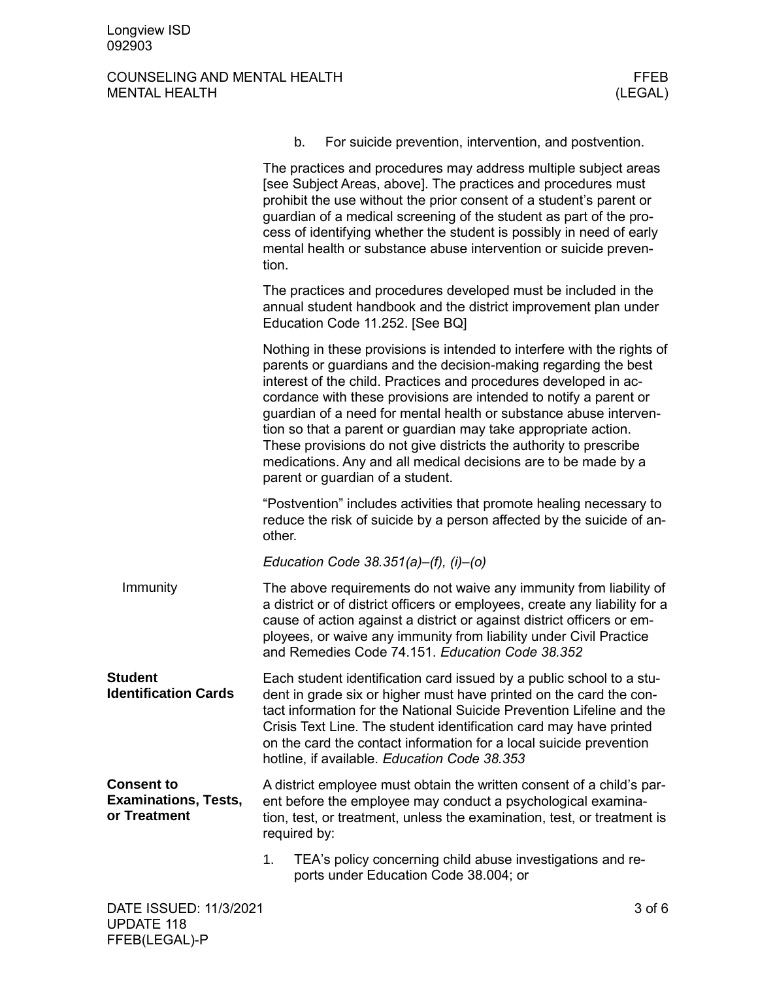# COUNSELING AND MENTAL HEALTH FFEB FFEB SERVICES AND MENTAL HEALTH FEEB MENTAL HEALTH MENTAL HEALTH

|                                                                  | b.<br>For suicide prevention, intervention, and postvention.                                                                                                                                                                                                                                                                                                                                                                                                                                                                                                                                          |  |
|------------------------------------------------------------------|-------------------------------------------------------------------------------------------------------------------------------------------------------------------------------------------------------------------------------------------------------------------------------------------------------------------------------------------------------------------------------------------------------------------------------------------------------------------------------------------------------------------------------------------------------------------------------------------------------|--|
|                                                                  | The practices and procedures may address multiple subject areas<br>[see Subject Areas, above]. The practices and procedures must<br>prohibit the use without the prior consent of a student's parent or<br>guardian of a medical screening of the student as part of the pro-<br>cess of identifying whether the student is possibly in need of early<br>mental health or substance abuse intervention or suicide preven-<br>tion.                                                                                                                                                                    |  |
|                                                                  | The practices and procedures developed must be included in the<br>annual student handbook and the district improvement plan under<br>Education Code 11.252. [See BQ]                                                                                                                                                                                                                                                                                                                                                                                                                                  |  |
|                                                                  | Nothing in these provisions is intended to interfere with the rights of<br>parents or guardians and the decision-making regarding the best<br>interest of the child. Practices and procedures developed in ac-<br>cordance with these provisions are intended to notify a parent or<br>guardian of a need for mental health or substance abuse interven-<br>tion so that a parent or guardian may take appropriate action.<br>These provisions do not give districts the authority to prescribe<br>medications. Any and all medical decisions are to be made by a<br>parent or guardian of a student. |  |
|                                                                  | "Postvention" includes activities that promote healing necessary to<br>reduce the risk of suicide by a person affected by the suicide of an-<br>other.                                                                                                                                                                                                                                                                                                                                                                                                                                                |  |
|                                                                  | Education Code 38.351(a)-(f), (i)-(o)                                                                                                                                                                                                                                                                                                                                                                                                                                                                                                                                                                 |  |
| Immunity                                                         | The above requirements do not waive any immunity from liability of<br>a district or of district officers or employees, create any liability for a<br>cause of action against a district or against district officers or em-<br>ployees, or waive any immunity from liability under Civil Practice<br>and Remedies Code 74.151. Education Code 38.352                                                                                                                                                                                                                                                  |  |
| <b>Student</b><br><b>Identification Cards</b>                    | Each student identification card issued by a public school to a stu-<br>dent in grade six or higher must have printed on the card the con-<br>tact information for the National Suicide Prevention Lifeline and the<br>Crisis Text Line. The student identification card may have printed<br>on the card the contact information for a local suicide prevention<br>hotline, if available. Education Code 38.353                                                                                                                                                                                       |  |
| <b>Consent to</b><br><b>Examinations, Tests,</b><br>or Treatment | A district employee must obtain the written consent of a child's par-<br>ent before the employee may conduct a psychological examina-<br>tion, test, or treatment, unless the examination, test, or treatment is<br>required by:                                                                                                                                                                                                                                                                                                                                                                      |  |
|                                                                  | 1.<br>TEA's policy concerning child abuse investigations and re-<br>ports under Education Code 38.004; or                                                                                                                                                                                                                                                                                                                                                                                                                                                                                             |  |
| DATE ISSUED: 11/3/2021                                           | $3$ of $6$                                                                                                                                                                                                                                                                                                                                                                                                                                                                                                                                                                                            |  |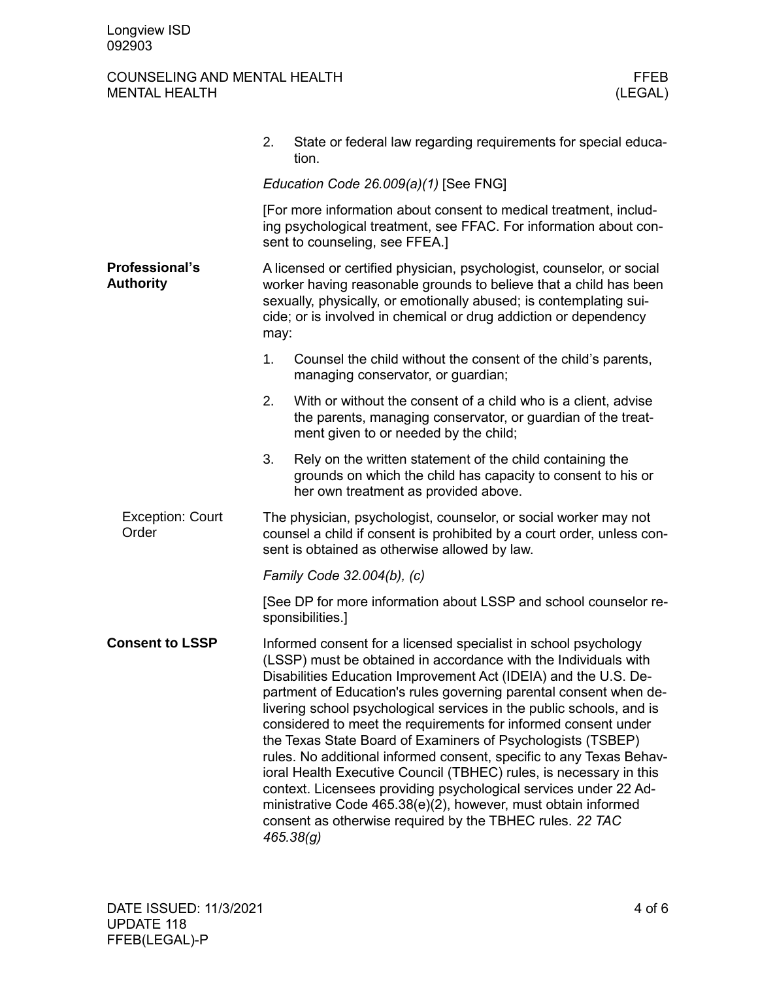# COUNSELING AND MENTAL HEALTH FFEB FFEB MENTAL HEALTH (LEGAL) MENTAL HEALTH

|                                           | State or federal law regarding requirements for special educa-<br>2.<br>tion.                                                                                                                                                                                                                                                                                                                                                                                                                                                                                                                                                                                                                                                                                                                                                                  |  |  |  |
|-------------------------------------------|------------------------------------------------------------------------------------------------------------------------------------------------------------------------------------------------------------------------------------------------------------------------------------------------------------------------------------------------------------------------------------------------------------------------------------------------------------------------------------------------------------------------------------------------------------------------------------------------------------------------------------------------------------------------------------------------------------------------------------------------------------------------------------------------------------------------------------------------|--|--|--|
|                                           | Education Code 26.009(a)(1) [See FNG]                                                                                                                                                                                                                                                                                                                                                                                                                                                                                                                                                                                                                                                                                                                                                                                                          |  |  |  |
|                                           | [For more information about consent to medical treatment, includ-<br>ing psychological treatment, see FFAC. For information about con-<br>sent to counseling, see FFEA.]                                                                                                                                                                                                                                                                                                                                                                                                                                                                                                                                                                                                                                                                       |  |  |  |
| <b>Professional's</b><br><b>Authority</b> | A licensed or certified physician, psychologist, counselor, or social<br>worker having reasonable grounds to believe that a child has been<br>sexually, physically, or emotionally abused; is contemplating sui-<br>cide; or is involved in chemical or drug addiction or dependency<br>may:                                                                                                                                                                                                                                                                                                                                                                                                                                                                                                                                                   |  |  |  |
|                                           | 1.<br>Counsel the child without the consent of the child's parents,<br>managing conservator, or guardian;                                                                                                                                                                                                                                                                                                                                                                                                                                                                                                                                                                                                                                                                                                                                      |  |  |  |
|                                           | 2.<br>With or without the consent of a child who is a client, advise<br>the parents, managing conservator, or guardian of the treat-<br>ment given to or needed by the child;                                                                                                                                                                                                                                                                                                                                                                                                                                                                                                                                                                                                                                                                  |  |  |  |
|                                           | 3.<br>Rely on the written statement of the child containing the<br>grounds on which the child has capacity to consent to his or<br>her own treatment as provided above.                                                                                                                                                                                                                                                                                                                                                                                                                                                                                                                                                                                                                                                                        |  |  |  |
| <b>Exception: Court</b><br>Order          | The physician, psychologist, counselor, or social worker may not<br>counsel a child if consent is prohibited by a court order, unless con-<br>sent is obtained as otherwise allowed by law.                                                                                                                                                                                                                                                                                                                                                                                                                                                                                                                                                                                                                                                    |  |  |  |
|                                           | Family Code 32.004(b), (c)                                                                                                                                                                                                                                                                                                                                                                                                                                                                                                                                                                                                                                                                                                                                                                                                                     |  |  |  |
|                                           | [See DP for more information about LSSP and school counselor re-<br>sponsibilities.]                                                                                                                                                                                                                                                                                                                                                                                                                                                                                                                                                                                                                                                                                                                                                           |  |  |  |
| <b>Consent to LSSP</b>                    | Informed consent for a licensed specialist in school psychology<br>(LSSP) must be obtained in accordance with the Individuals with<br>Disabilities Education Improvement Act (IDEIA) and the U.S. De-<br>partment of Education's rules governing parental consent when de-<br>livering school psychological services in the public schools, and is<br>considered to meet the requirements for informed consent under<br>the Texas State Board of Examiners of Psychologists (TSBEP)<br>rules. No additional informed consent, specific to any Texas Behav-<br>ioral Health Executive Council (TBHEC) rules, is necessary in this<br>context. Licensees providing psychological services under 22 Ad-<br>ministrative Code 465.38(e)(2), however, must obtain informed<br>consent as otherwise required by the TBHEC rules. 22 TAC<br>465.38(g) |  |  |  |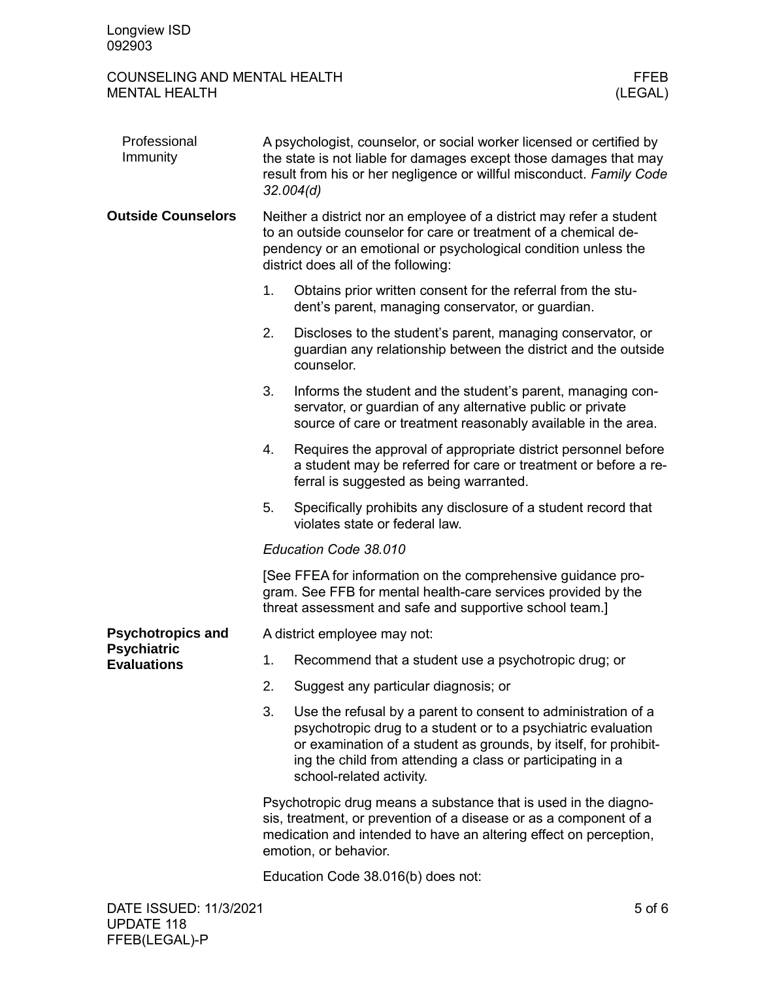## COUNSELING AND MENTAL HEALTH FEER THE MENTAL HEALTH SERVICE SERVICES AND MENTAL HEALTH MENTAL HEALTH

| Professional<br>Immunity                 | A psychologist, counselor, or social worker licensed or certified by<br>the state is not liable for damages except those damages that may<br>result from his or her negligence or willful misconduct. Family Code<br>32.004(d)                   |                                                                                                                                                                                                                                                                                              |            |
|------------------------------------------|--------------------------------------------------------------------------------------------------------------------------------------------------------------------------------------------------------------------------------------------------|----------------------------------------------------------------------------------------------------------------------------------------------------------------------------------------------------------------------------------------------------------------------------------------------|------------|
| <b>Outside Counselors</b>                | Neither a district nor an employee of a district may refer a student<br>to an outside counselor for care or treatment of a chemical de-<br>pendency or an emotional or psychological condition unless the<br>district does all of the following: |                                                                                                                                                                                                                                                                                              |            |
|                                          | 1.                                                                                                                                                                                                                                               | Obtains prior written consent for the referral from the stu-<br>dent's parent, managing conservator, or guardian.                                                                                                                                                                            |            |
|                                          | 2.                                                                                                                                                                                                                                               | Discloses to the student's parent, managing conservator, or<br>guardian any relationship between the district and the outside<br>counselor.                                                                                                                                                  |            |
|                                          | 3.                                                                                                                                                                                                                                               | Informs the student and the student's parent, managing con-<br>servator, or guardian of any alternative public or private<br>source of care or treatment reasonably available in the area.                                                                                                   |            |
|                                          | 4.                                                                                                                                                                                                                                               | Requires the approval of appropriate district personnel before<br>a student may be referred for care or treatment or before a re-<br>ferral is suggested as being warranted.                                                                                                                 |            |
|                                          | 5.                                                                                                                                                                                                                                               | Specifically prohibits any disclosure of a student record that<br>violates state or federal law.                                                                                                                                                                                             |            |
|                                          |                                                                                                                                                                                                                                                  | Education Code 38.010                                                                                                                                                                                                                                                                        |            |
|                                          |                                                                                                                                                                                                                                                  | [See FFEA for information on the comprehensive guidance pro-<br>gram. See FFB for mental health-care services provided by the<br>threat assessment and safe and supportive school team.]                                                                                                     |            |
| <b>Psychotropics and</b>                 | A district employee may not:                                                                                                                                                                                                                     |                                                                                                                                                                                                                                                                                              |            |
| <b>Psychiatric</b><br><b>Evaluations</b> | 1.                                                                                                                                                                                                                                               | Recommend that a student use a psychotropic drug; or                                                                                                                                                                                                                                         |            |
|                                          | 2.                                                                                                                                                                                                                                               | Suggest any particular diagnosis; or                                                                                                                                                                                                                                                         |            |
|                                          | 3.                                                                                                                                                                                                                                               | Use the refusal by a parent to consent to administration of a<br>psychotropic drug to a student or to a psychiatric evaluation<br>or examination of a student as grounds, by itself, for prohibit-<br>ing the child from attending a class or participating in a<br>school-related activity. |            |
|                                          |                                                                                                                                                                                                                                                  | Psychotropic drug means a substance that is used in the diagno-<br>sis, treatment, or prevention of a disease or as a component of a<br>medication and intended to have an altering effect on perception,<br>emotion, or behavior.                                                           |            |
|                                          |                                                                                                                                                                                                                                                  | Education Code 38.016(b) does not:                                                                                                                                                                                                                                                           |            |
| DATE ISSUED: 11/3/2021                   |                                                                                                                                                                                                                                                  |                                                                                                                                                                                                                                                                                              | $5$ of $6$ |